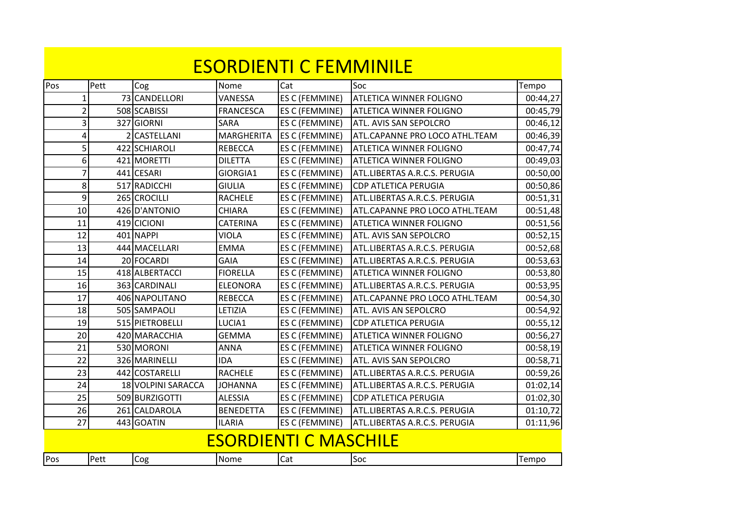| <b>ESORDIENTI C FEMMINILE</b> |      |                    |                   |                              |                                |          |  |  |
|-------------------------------|------|--------------------|-------------------|------------------------------|--------------------------------|----------|--|--|
| Pos                           | Pett | Cog                | Nome              | Cat                          | Soc                            | Tempo    |  |  |
| $\mathbf 1$                   |      | 73 CANDELLORI      | VANESSA           | <b>ES C (FEMMINE)</b>        | <b>ATLETICA WINNER FOLIGNO</b> | 00:44,27 |  |  |
| 2                             |      | 508 SCABISSI       | <b>FRANCESCA</b>  | ES C (FEMMINE)               | <b>ATLETICA WINNER FOLIGNO</b> | 00:45,79 |  |  |
| 3                             |      | 327 GIORNI         | <b>SARA</b>       | ES C (FEMMINE)               | ATL. AVIS SAN SEPOLCRO         | 00:46,12 |  |  |
| 4                             |      | 2 CASTELLANI       | <b>MARGHERITA</b> | <b>ES C (FEMMINE)</b>        | ATL.CAPANNE PRO LOCO ATHL.TEAM | 00:46,39 |  |  |
| 5                             |      | 422 SCHIAROLI      | <b>REBECCA</b>    | ES C (FEMMINE)               | ATLETICA WINNER FOLIGNO        | 00:47,74 |  |  |
| 6                             |      | 421 MORETTI        | <b>DILETTA</b>    | ES C (FEMMINE)               | <b>ATLETICA WINNER FOLIGNO</b> | 00:49,03 |  |  |
| $\overline{7}$                |      | 441 CESARI         | GIORGIA1          | ES C (FEMMINE)               | ATL.LIBERTAS A.R.C.S. PERUGIA  | 00:50,00 |  |  |
| 8                             |      | 517 RADICCHI       | <b>GIULIA</b>     | ES C (FEMMINE)               | <b>CDP ATLETICA PERUGIA</b>    | 00:50,86 |  |  |
| 9                             |      | 265 CROCILLI       | <b>RACHELE</b>    | ES C (FEMMINE)               | ATL.LIBERTAS A.R.C.S. PERUGIA  | 00:51,31 |  |  |
| 10                            |      | 426 D'ANTONIO      | <b>CHIARA</b>     | ES C (FEMMINE)               | ATL.CAPANNE PRO LOCO ATHL.TEAM | 00:51,48 |  |  |
| 11                            |      | 419 CICIONI        | <b>CATERINA</b>   | ES C (FEMMINE)               | ATLETICA WINNER FOLIGNO        | 00:51,56 |  |  |
| 12                            |      | 401 NAPPI          | <b>VIOLA</b>      | ES C (FEMMINE)               | ATL. AVIS SAN SEPOLCRO         | 00:52,15 |  |  |
| 13                            |      | 444 MACELLARI      | <b>EMMA</b>       | ES C (FEMMINE)               | ATL.LIBERTAS A.R.C.S. PERUGIA  | 00:52,68 |  |  |
| 14                            |      | 20 FOCARDI         | <b>GAIA</b>       | ES C (FEMMINE)               | ATL.LIBERTAS A.R.C.S. PERUGIA  | 00:53,63 |  |  |
| 15                            |      | 418 ALBERTACCI     | <b>FIORELLA</b>   | ES C (FEMMINE)               | <b>ATLETICA WINNER FOLIGNO</b> | 00:53,80 |  |  |
| 16                            |      | 363 CARDINALI      | <b>ELEONORA</b>   | ES C (FEMMINE)               | ATL.LIBERTAS A.R.C.S. PERUGIA  | 00:53,95 |  |  |
| 17                            |      | 406 NAPOLITANO     | <b>REBECCA</b>    | ES C (FEMMINE)               | ATL.CAPANNE PRO LOCO ATHL.TEAM | 00:54,30 |  |  |
| 18                            |      | 505 SAMPAOLI       | LETIZIA           | ES C (FEMMINE)               | ATL. AVIS AN SEPOLCRO          | 00:54,92 |  |  |
| 19                            |      | 515 PIETROBELLI    | LUCIA1            | ES C (FEMMINE)               | <b>CDP ATLETICA PERUGIA</b>    | 00:55,12 |  |  |
| 20                            |      | 420 MARACCHIA      | <b>GEMMA</b>      | ES C (FEMMINE)               | ATLETICA WINNER FOLIGNO        | 00:56,27 |  |  |
| 21                            |      | 530 MORONI         | ANNA              | ES C (FEMMINE)               | ATLETICA WINNER FOLIGNO        | 00:58,19 |  |  |
| 22                            |      | 326 MARINELLI      | <b>IDA</b>        | ES C (FEMMINE)               | ATL. AVIS SAN SEPOLCRO         | 00:58,71 |  |  |
| 23                            |      | 442 COSTARELLI     | <b>RACHELE</b>    | ES C (FEMMINE)               | ATL.LIBERTAS A.R.C.S. PERUGIA  | 00:59,26 |  |  |
| 24                            |      | 18 VOLPINI SARACCA | <b>JOHANNA</b>    | <b>ES C (FEMMINE)</b>        | ATL.LIBERTAS A.R.C.S. PERUGIA  | 01:02,14 |  |  |
| 25                            |      | 509 BURZIGOTTI     | <b>ALESSIA</b>    | ES C (FEMMINE)               | <b>CDP ATLETICA PERUGIA</b>    | 01:02,30 |  |  |
| 26                            |      | 261 CALDAROLA      | <b>BENEDETTA</b>  | <b>ES C (FEMMINE)</b>        | ATL.LIBERTAS A.R.C.S. PERUGIA  | 01:10,72 |  |  |
| 27                            |      | 443 GOATIN         | <b>ILARIA</b>     | ES C (FEMMINE)               | ATL.LIBERTAS A.R.C.S. PERUGIA  | 01:11,96 |  |  |
|                               |      |                    |                   | <b>ESORDIENTI C MASCHILE</b> |                                |          |  |  |
| Pos                           | Pett | Cog                | Nome              | Cat                          | Soc                            | Tempo    |  |  |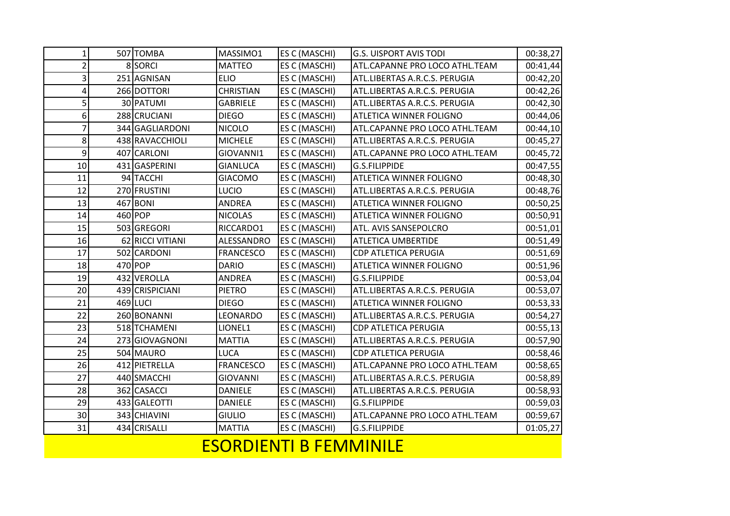| 26<br>27                       |           | 412 PIETRELLA<br>440 SMACCHI | <b>FRANCESCO</b>          | ES C (MASCHI)<br>ES C (MASCHI) | ATL.CAPANNE PRO LOCO ATHL.TEAM                                  | 00:58,65<br>00:58,89 |  |  |  |
|--------------------------------|-----------|------------------------------|---------------------------|--------------------------------|-----------------------------------------------------------------|----------------------|--|--|--|
| 25                             |           | 504 MAURO                    | <b>LUCA</b>               | ES C (MASCHI)                  | <b>CDP ATLETICA PERUGIA</b>                                     | 00:58,46             |  |  |  |
| 24                             |           | 273 GIOVAGNONI               | <b>MATTIA</b>             | ES C (MASCHI)                  | ATL.LIBERTAS A.R.C.S. PERUGIA                                   | 00:57,90             |  |  |  |
| 23                             |           | 518 TCHAMENI                 | LIONEL1                   | ES C (MASCHI)                  | CDP ATLETICA PERUGIA                                            | 00:55,13             |  |  |  |
| 22                             |           | 260 BONANNI                  | LEONARDO                  | ES C (MASCHI)                  | ATL.LIBERTAS A.R.C.S. PERUGIA                                   | 00:54,27             |  |  |  |
| 21                             |           | 469 LUCI                     | <b>DIEGO</b>              | ES C (MASCHI)                  | ATLETICA WINNER FOLIGNO                                         | 00:53,33             |  |  |  |
| 20                             |           | 439 CRISPICIANI              | <b>PIETRO</b>             | ES C (MASCHI)                  | ATL.LIBERTAS A.R.C.S. PERUGIA                                   | 00:53,07             |  |  |  |
| 19                             |           | 432 VEROLLA                  | <b>ANDREA</b>             | ES C (MASCHI)                  | <b>G.S.FILIPPIDE</b>                                            | 00:53,04             |  |  |  |
| 18                             |           | $470$ POP                    | <b>DARIO</b>              | ES C (MASCHI)                  | ATLETICA WINNER FOLIGNO                                         | 00:51,96             |  |  |  |
| 17                             |           | 502 CARDONI                  | <b>FRANCESCO</b>          | ES C (MASCHI)                  | CDP ATLETICA PERUGIA                                            | 00:51,69             |  |  |  |
| 16                             |           | 62 RICCI VITIANI             | ALESSANDRO                | ES C (MASCHI)                  | <b>ATLETICA UMBERTIDE</b>                                       | 00:51,49             |  |  |  |
| 15                             |           | 503 GREGORI                  | RICCARDO1                 | ES C (MASCHI)                  | ATL. AVIS SANSEPOLCRO                                           | 00:51,01             |  |  |  |
| 14                             |           | 460 POP                      | <b>NICOLAS</b>            | ES C (MASCHI)                  | ATLETICA WINNER FOLIGNO                                         | 00:50,91             |  |  |  |
| 13                             |           | 467 BONI                     | <b>ANDREA</b>             | ES C (MASCHI)                  | ATLETICA WINNER FOLIGNO                                         | 00:50,25             |  |  |  |
| 12                             |           | 270 FRUSTINI                 | <b>LUCIO</b>              | ES C (MASCHI)                  | ATL.LIBERTAS A.R.C.S. PERUGIA                                   | 00:48,76             |  |  |  |
| 11                             |           | 94 TACCHI                    | <b>GIACOMO</b>            | ES C (MASCHI)                  | ATLETICA WINNER FOLIGNO                                         | 00:48,30             |  |  |  |
| 10                             |           | 431 GASPERINI                | <b>GIANLUCA</b>           | ES C (MASCHI)                  | <b>G.S.FILIPPIDE</b>                                            | 00:47,55             |  |  |  |
| $\overline{9}$                 |           | 407 CARLONI                  | GIOVANNI1                 | ES C (MASCHI)                  | ATL.CAPANNE PRO LOCO ATHL.TEAM                                  | 00:45,72             |  |  |  |
| 8                              |           | 438 RAVACCHIOLI              | <b>MICHELE</b>            | ES C (MASCHI)                  | ATL.LIBERTAS A.R.C.S. PERUGIA                                   | 00:44,10<br>00:45,27 |  |  |  |
| 7                              |           | 344 GAGLIARDONI              | <b>NICOLO</b>             | ES C (MASCHI)                  | ATL.CAPANNE PRO LOCO ATHL.TEAM                                  |                      |  |  |  |
| 6                              |           | 288 CRUCIANI                 | <b>DIEGO</b>              | ES C (MASCHI)                  | <b>ATLETICA WINNER FOLIGNO</b>                                  | 00:42,30<br>00:44,06 |  |  |  |
| 5                              |           | 30 PATUMI                    | <b>GABRIELE</b>           | ES C (MASCHI)                  | ATL.LIBERTAS A.R.C.S. PERUGIA                                   |                      |  |  |  |
| 4                              |           | 266 DOTTORI                  | <b>CHRISTIAN</b>          | ES C (MASCHI)                  | ATL.LIBERTAS A.R.C.S. PERUGIA                                   | 00:42,26             |  |  |  |
| 3                              |           | 251 AGNISAN                  | <b>ELIO</b>               | ES C (MASCHI)<br>ES C (MASCHI) | ATL.CAPANNE PRO LOCO ATHL.TEAM<br>ATL.LIBERTAS A.R.C.S. PERUGIA | 00:41,44<br>00:42,20 |  |  |  |
| $\mathbf{1}$<br>$\overline{2}$ |           | 8 SORCI                      | MASSIMO1<br><b>MATTEO</b> | ES C (MASCHI)                  | <b>G.S. UISPORT AVIS TODI</b>                                   | 00:38,27             |  |  |  |
|                                | 507 TOMBA |                              |                           |                                |                                                                 |                      |  |  |  |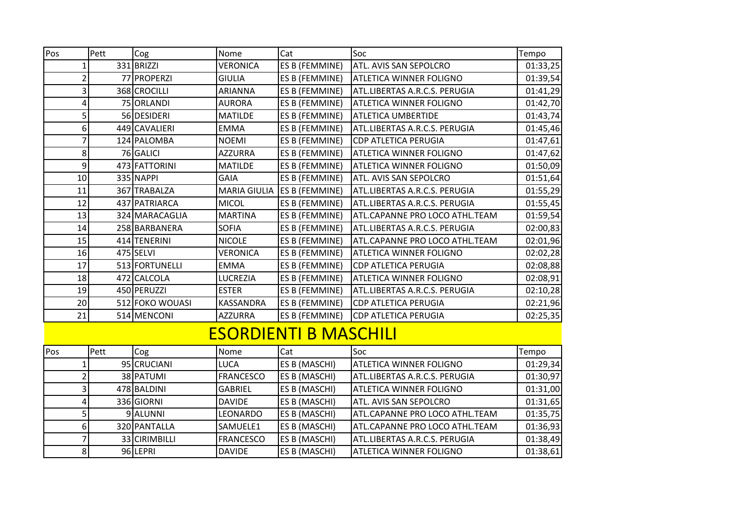| Pos            | Pett                         | Cog             | Nome             | Cat                         | Soc                            | Tempo    |  |  |
|----------------|------------------------------|-----------------|------------------|-----------------------------|--------------------------------|----------|--|--|
| 1              |                              | 331 BRIZZI      | <b>VERONICA</b>  | ES B (FEMMINE)              | ATL. AVIS SAN SEPOLCRO         | 01:33,25 |  |  |
| $\overline{c}$ |                              | 77 PROPERZI     | <b>GIULIA</b>    | ES B (FEMMINE)              | <b>ATLETICA WINNER FOLIGNO</b> | 01:39,54 |  |  |
| 3              |                              | 368 CROCILLI    | ARIANNA          | ES B (FEMMINE)              | ATL.LIBERTAS A.R.C.S. PERUGIA  | 01:41,29 |  |  |
| 4              |                              | 75 ORLANDI      | <b>AURORA</b>    | ES B (FEMMINE)              | <b>ATLETICA WINNER FOLIGNO</b> | 01:42,70 |  |  |
| 5              |                              | 56 DESIDERI     | <b>MATILDE</b>   | ES B (FEMMINE)              | <b>ATLETICA UMBERTIDE</b>      | 01:43,74 |  |  |
| 6              |                              | 449 CAVALIERI   | <b>EMMA</b>      | ES B (FEMMINE)              | ATL.LIBERTAS A.R.C.S. PERUGIA  | 01:45,46 |  |  |
| $\overline{7}$ |                              | 124 PALOMBA     | <b>NOEMI</b>     | ES B (FEMMINE)              | CDP ATLETICA PERUGIA           | 01:47,61 |  |  |
| 8              |                              | 76 GALICI       | <b>AZZURRA</b>   | ES B (FEMMINE)              | <b>ATLETICA WINNER FOLIGNO</b> | 01:47,62 |  |  |
| 9              |                              | 473 FATTORINI   | <b>MATILDE</b>   | ES B (FEMMINE)              | <b>ATLETICA WINNER FOLIGNO</b> | 01:50,09 |  |  |
| 10             |                              | 335 NAPPI       | <b>GAIA</b>      | ES B (FEMMINE)              | ATL. AVIS SAN SEPOLCRO         | 01:51,64 |  |  |
| 11             |                              | 367 TRABALZA    |                  | MARIA GIULIA ES B (FEMMINE) | ATL.LIBERTAS A.R.C.S. PERUGIA  | 01:55,29 |  |  |
| 12             |                              | 437 PATRIARCA   | <b>MICOL</b>     | ES B (FEMMINE)              | ATL.LIBERTAS A.R.C.S. PERUGIA  | 01:55,45 |  |  |
| 13             |                              | 324 MARACAGLIA  | <b>MARTINA</b>   | ES B (FEMMINE)              | ATL.CAPANNE PRO LOCO ATHL.TEAM | 01:59,54 |  |  |
| 14             |                              | 258 BARBANERA   | <b>SOFIA</b>     | ES B (FEMMINE)              | ATL.LIBERTAS A.R.C.S. PERUGIA  | 02:00,83 |  |  |
| 15             |                              | 414 TENERINI    | <b>NICOLE</b>    | ES B (FEMMINE)              | ATL.CAPANNE PRO LOCO ATHL.TEAM | 02:01,96 |  |  |
| 16             |                              | 475 SELVI       | <b>VERONICA</b>  | ES B (FEMMINE)              | <b>ATLETICA WINNER FOLIGNO</b> | 02:02,28 |  |  |
| 17             |                              | 513 FORTUNELLI  | <b>EMMA</b>      | ES B (FEMMINE)              | <b>CDP ATLETICA PERUGIA</b>    | 02:08,88 |  |  |
| 18             |                              | 472 CALCOLA     | <b>LUCREZIA</b>  | ES B (FEMMINE)              | <b>ATLETICA WINNER FOLIGNO</b> | 02:08,91 |  |  |
| 19             |                              | 450 PERUZZI     | <b>ESTER</b>     | ES B (FEMMINE)              | ATL.LIBERTAS A.R.C.S. PERUGIA  | 02:10,28 |  |  |
| 20             |                              | 512 FOKO WOUASI | KASSANDRA        | ES B (FEMMINE)              | <b>CDP ATLETICA PERUGIA</b>    | 02:21,96 |  |  |
| 21             |                              | 514 MENCONI     | <b>AZZURRA</b>   | ES B (FEMMINE)              | <b>CDP ATLETICA PERUGIA</b>    | 02:25,35 |  |  |
|                | <u>ESORDIENTI B MASCHILI</u> |                 |                  |                             |                                |          |  |  |
| Pos            | Pett                         | Cog             | Nome             | Cat                         | <b>Soc</b>                     | Tempo    |  |  |
| $\mathbf{1}$   |                              | 95 CRUCIANI     | <b>LUCA</b>      | ES B (MASCHI)               | <b>ATLETICA WINNER FOLIGNO</b> | 01:29,34 |  |  |
| $\overline{2}$ |                              | 38 PATUMI       | <b>FRANCESCO</b> | ES B (MASCHI)               | ATL.LIBERTAS A.R.C.S. PERUGIA  | 01:30,97 |  |  |
| 3              |                              | 478 BALDINI     | <b>GABRIEL</b>   | ES B (MASCHI)               | <b>ATLETICA WINNER FOLIGNO</b> | 01:31,00 |  |  |
| 4              |                              | 336 GIORNI      | <b>DAVIDE</b>    | ES B (MASCHI)               | ATL. AVIS SAN SEPOLCRO         | 01:31,65 |  |  |
| 5              |                              | 9 ALUNNI        | LEONARDO         | ES B (MASCHI)               | ATL.CAPANNE PRO LOCO ATHL.TEAM | 01:35,75 |  |  |
| 6              |                              | 320 PANTALLA    | SAMUELE1         | ES B (MASCHI)               | ATL.CAPANNE PRO LOCO ATHL.TEAM | 01:36,93 |  |  |
| 7              |                              | 33 CIRIMBILLI   | <b>FRANCESCO</b> | ES B (MASCHI)               | ATL.LIBERTAS A.R.C.S. PERUGIA  | 01:38,49 |  |  |
| 8              |                              | 96 LEPRI        | <b>DAVIDE</b>    | ES B (MASCHI)               | ATLETICA WINNER FOLIGNO        | 01:38,61 |  |  |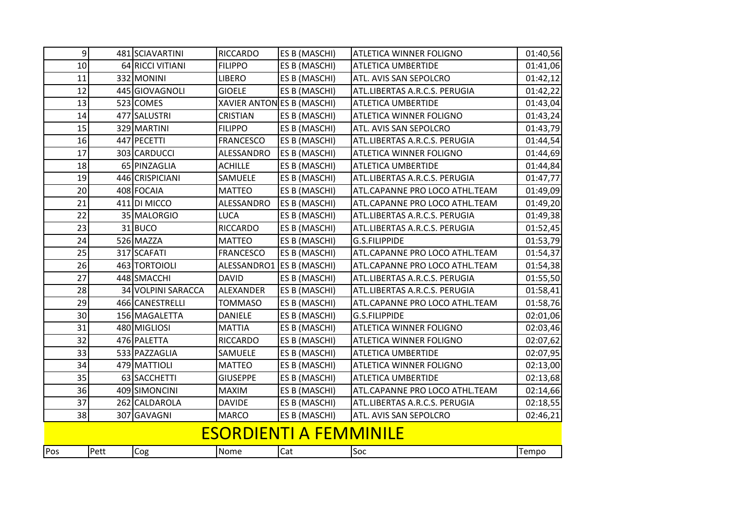| $\overline{9}$ |                               | 481 SCIAVARTINI    | <b>RICCARDO</b>            | ES B (MASCHI)        | <b>ATLETICA WINNER FOLIGNO</b> | 01:40,56 |  |  |  |
|----------------|-------------------------------|--------------------|----------------------------|----------------------|--------------------------------|----------|--|--|--|
| 10             |                               | 64 RICCI VITIANI   | <b>FILIPPO</b>             | ES B (MASCHI)        | <b>ATLETICA UMBERTIDE</b>      | 01:41,06 |  |  |  |
| 11             |                               | 332 MONINI         | <b>LIBERO</b>              | ES B (MASCHI)        | ATL. AVIS SAN SEPOLCRO         | 01:42,12 |  |  |  |
| 12             |                               | 445 GIOVAGNOLI     | <b>GIOELE</b>              | ES B (MASCHI)        | ATL.LIBERTAS A.R.C.S. PERUGIA  | 01:42,22 |  |  |  |
| 13             |                               | 523 COMES          | XAVIER ANTON ES B (MASCHI) |                      | <b>ATLETICA UMBERTIDE</b>      | 01:43,04 |  |  |  |
| 14             |                               | 477 SALUSTRI       | <b>CRISTIAN</b>            | ES B (MASCHI)        | <b>ATLETICA WINNER FOLIGNO</b> | 01:43,24 |  |  |  |
| 15             |                               | 329 MARTINI        | <b>FILIPPO</b>             | ES B (MASCHI)        | ATL. AVIS SAN SEPOLCRO         | 01:43,79 |  |  |  |
| 16             |                               | 447 PECETTI        | <b>FRANCESCO</b>           | ES B (MASCHI)        | ATL.LIBERTAS A.R.C.S. PERUGIA  | 01:44,54 |  |  |  |
| 17             |                               | 303 CARDUCCI       | ALESSANDRO                 | ES B (MASCHI)        | <b>ATLETICA WINNER FOLIGNO</b> | 01:44,69 |  |  |  |
| 18             |                               | 65 PINZAGLIA       | <b>ACHILLE</b>             | ES B (MASCHI)        | <b>ATLETICA UMBERTIDE</b>      | 01:44,84 |  |  |  |
| 19             |                               | 446 CRISPICIANI    | SAMUELE                    | ES B (MASCHI)        | ATL.LIBERTAS A.R.C.S. PERUGIA  | 01:47,77 |  |  |  |
| 20             |                               | 408 FOCAIA         | <b>MATTEO</b>              | ES B (MASCHI)        | ATL.CAPANNE PRO LOCO ATHL.TEAM | 01:49,09 |  |  |  |
| 21             |                               | 411 DI MICCO       | ALESSANDRO                 | ES B (MASCHI)        | ATL.CAPANNE PRO LOCO ATHL.TEAM | 01:49,20 |  |  |  |
| 22             |                               | 35 MALORGIO        | <b>LUCA</b>                | ES B (MASCHI)        | ATL.LIBERTAS A.R.C.S. PERUGIA  | 01:49,38 |  |  |  |
| 23             |                               | 31BUCO             | RICCARDO                   | ES B (MASCHI)        | ATL.LIBERTAS A.R.C.S. PERUGIA  | 01:52,45 |  |  |  |
| 24             |                               | 526 MAZZA          | <b>MATTEO</b>              | ES B (MASCHI)        | <b>G.S.FILIPPIDE</b>           | 01:53,79 |  |  |  |
| 25             |                               | 317 SCAFATI        | <b>FRANCESCO</b>           | ES B (MASCHI)        | ATL.CAPANNE PRO LOCO ATHL.TEAM | 01:54,37 |  |  |  |
| 26             |                               | 463 TORTOIOLI      | ALESSANDRO1                | <b>ES B (MASCHI)</b> | ATL.CAPANNE PRO LOCO ATHL.TEAM | 01:54,38 |  |  |  |
| 27             |                               | 448 SMACCHI        | <b>DAVID</b>               | ES B (MASCHI)        | ATL.LIBERTAS A.R.C.S. PERUGIA  | 01:55,50 |  |  |  |
| 28             |                               | 34 VOLPINI SARACCA | ALEXANDER                  | ES B (MASCHI)        | ATL.LIBERTAS A.R.C.S. PERUGIA  | 01:58,41 |  |  |  |
| 29             |                               | 466 CANESTRELLI    | <b>TOMMASO</b>             | ES B (MASCHI)        | ATL.CAPANNE PRO LOCO ATHL.TEAM | 01:58,76 |  |  |  |
| 30             |                               | 156 MAGALETTA      | <b>DANIELE</b>             | ES B (MASCHI)        | <b>G.S.FILIPPIDE</b>           | 02:01,06 |  |  |  |
| 31             |                               | 480 MIGLIOSI       | <b>MATTIA</b>              | ES B (MASCHI)        | ATLETICA WINNER FOLIGNO        | 02:03,46 |  |  |  |
| 32             |                               | 476 PALETTA        | <b>RICCARDO</b>            | ES B (MASCHI)        | ATLETICA WINNER FOLIGNO        | 02:07,62 |  |  |  |
| 33             |                               | 533 PAZZAGLIA      | SAMUELE                    | ES B (MASCHI)        | <b>ATLETICA UMBERTIDE</b>      | 02:07,95 |  |  |  |
| 34             |                               | 479 MATTIOLI       | <b>MATTEO</b>              | ES B (MASCHI)        | <b>ATLETICA WINNER FOLIGNO</b> | 02:13,00 |  |  |  |
| 35             |                               | 63 SACCHETTI       | <b>GIUSEPPE</b>            | ES B (MASCHI)        | <b>ATLETICA UMBERTIDE</b>      | 02:13,68 |  |  |  |
| 36             |                               | 409 SIMONCINI      | <b>MAXIM</b>               | ES B (MASCHI)        | ATL.CAPANNE PRO LOCO ATHL.TEAM | 02:14,66 |  |  |  |
| 37             |                               | 262 CALDAROLA      | <b>DAVIDE</b>              | ES B (MASCHI)        | ATL.LIBERTAS A.R.C.S. PERUGIA  | 02:18,55 |  |  |  |
| 38             |                               | 307 GAVAGNI        | <b>MARCO</b>               | ES B (MASCHI)        | ATL. AVIS SAN SEPOLCRO         | 02:46,21 |  |  |  |
|                | <b>ESORDIENTI A FEMMINILE</b> |                    |                            |                      |                                |          |  |  |  |
| Pos            | Pett                          | Cog                | Nome                       | Cat                  | Soc                            | Tempo    |  |  |  |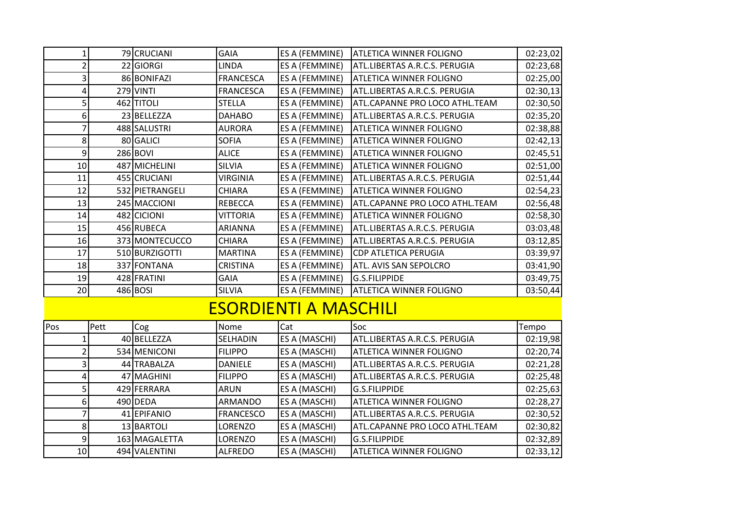|     | $\mathbf 1$             | 79 CRUCIANI     | <b>GAIA</b>      | ES A (FEMMINE)               | <b>ATLETICA WINNER FOLIGNO</b> | 02:23,02 |
|-----|-------------------------|-----------------|------------------|------------------------------|--------------------------------|----------|
|     | $\overline{2}$          | 22 GIORGI       | <b>LINDA</b>     | ES A (FEMMINE)               | ATL.LIBERTAS A.R.C.S. PERUGIA  | 02:23,68 |
|     | $\overline{\mathbf{3}}$ | 86 BONIFAZI     | <b>FRANCESCA</b> | ES A (FEMMINE)               | ATLETICA WINNER FOLIGNO        | 02:25,00 |
|     | 4                       | 279 VINTI       | <b>FRANCESCA</b> | ES A (FEMMINE)               | ATL.LIBERTAS A.R.C.S. PERUGIA  | 02:30,13 |
|     | 5                       | 462 TITOLI      | <b>STELLA</b>    | ES A (FEMMINE)               | ATL.CAPANNE PRO LOCO ATHL.TEAM | 02:30,50 |
|     | 6                       | 23 BELLEZZA     | <b>DAHABO</b>    | ES A (FEMMINE)               | ATL.LIBERTAS A.R.C.S. PERUGIA  | 02:35,20 |
|     | $\overline{7}$          | 488 SALUSTRI    | <b>AURORA</b>    | ES A (FEMMINE)               | <b>ATLETICA WINNER FOLIGNO</b> | 02:38,88 |
|     | 8                       | 80 GALICI       | <b>SOFIA</b>     | ES A (FEMMINE)               | ATLETICA WINNER FOLIGNO        | 02:42,13 |
|     | 9                       | 286 BOVI        | <b>ALICE</b>     | ES A (FEMMINE)               | ATLETICA WINNER FOLIGNO        | 02:45,51 |
| 10  |                         | 487 MICHELINI   | SILVIA           | ES A (FEMMINE)               | ATLETICA WINNER FOLIGNO        | 02:51,00 |
| 11  |                         | 455 CRUCIANI    | <b>VIRGINIA</b>  | ES A (FEMMINE)               | ATL.LIBERTAS A.R.C.S. PERUGIA  | 02:51,44 |
| 12  |                         | 532 PIETRANGELI | <b>CHIARA</b>    | ES A (FEMMINE)               | ATLETICA WINNER FOLIGNO        | 02:54,23 |
| 13  |                         | 245 MACCIONI    | <b>REBECCA</b>   | ES A (FEMMINE)               | ATL.CAPANNE PRO LOCO ATHL.TEAM | 02:56,48 |
| 14  |                         | 482 CICIONI     | <b>VITTORIA</b>  | ES A (FEMMINE)               | <b>ATLETICA WINNER FOLIGNO</b> | 02:58,30 |
| 15  |                         | 456 RUBECA      | <b>ARIANNA</b>   | ES A (FEMMINE)               | ATL.LIBERTAS A.R.C.S. PERUGIA  | 03:03,48 |
| 16  |                         | 373 MONTECUCCO  | <b>CHIARA</b>    | ES A (FEMMINE)               | ATL.LIBERTAS A.R.C.S. PERUGIA  | 03:12,85 |
| 17  |                         | 510 BURZIGOTTI  | <b>MARTINA</b>   | ES A (FEMMINE)               | CDP ATLETICA PERUGIA           | 03:39,97 |
| 18  |                         | 337 FONTANA     | <b>CRISTINA</b>  | ES A (FEMMINE)               | ATL. AVIS SAN SEPOLCRO         | 03:41,90 |
| 19  |                         | 428 FRATINI     | <b>GAIA</b>      | ES A (FEMMINE)               | <b>G.S.FILIPPIDE</b>           | 03:49,75 |
| 20  |                         | 486 BOSI        | <b>SILVIA</b>    | ES A (FEMMINE)               | ATLETICA WINNER FOLIGNO        | 03:50,44 |
|     |                         |                 |                  | <u>ESORDIENTI A MASCHILI</u> |                                |          |
| Pos | Pett                    | Cog             | Nome             | Cat                          | Soc                            | Tempo    |
|     | 1                       | 40 BELLEZZA     | SELHADIN         | ES A (MASCHI)                | ATL.LIBERTAS A.R.C.S. PERUGIA  | 02:19,98 |
|     | $\overline{c}$          | 534 MENICONI    | <b>FILIPPO</b>   | ES A (MASCHI)                | ATLETICA WINNER FOLIGNO        | 02:20,74 |
|     | 3                       | 44 TRABALZA     | <b>DANIELE</b>   | ES A (MASCHI)                | ATL.LIBERTAS A.R.C.S. PERUGIA  | 02:21,28 |
|     | 4                       | 47 MAGHINI      | <b>FILIPPO</b>   | ES A (MASCHI)                | ATL.LIBERTAS A.R.C.S. PERUGIA  | 02:25,48 |
|     | 5                       | 429 FERRARA     | ARUN             | ES A (MASCHI)                | <b>G.S.FILIPPIDE</b>           | 02:25,63 |
|     | 6                       | 490 DEDA        | <b>ARMANDO</b>   | ES A (MASCHI)                | <b>ATLETICA WINNER FOLIGNO</b> | 02:28,27 |
|     | $\overline{7}$          | 41 EPIFANIO     | <b>FRANCESCO</b> | ES A (MASCHI)                | ATL.LIBERTAS A.R.C.S. PERUGIA  | 02:30,52 |
|     | 8                       | 13 BARTOLI      | <b>LORENZO</b>   | ES A (MASCHI)                | ATL.CAPANNE PRO LOCO ATHL.TEAM | 02:30,82 |
|     | 9                       | 163 MAGALETTA   | LORENZO          | ES A (MASCHI)                | <b>G.S.FILIPPIDE</b>           | 02:32,89 |
| 10  |                         | 494 VALENTINI   | <b>ALFREDO</b>   | ES A (MASCHI)                | ATLETICA WINNER FOLIGNO        | 02:33,12 |
|     |                         |                 |                  |                              |                                |          |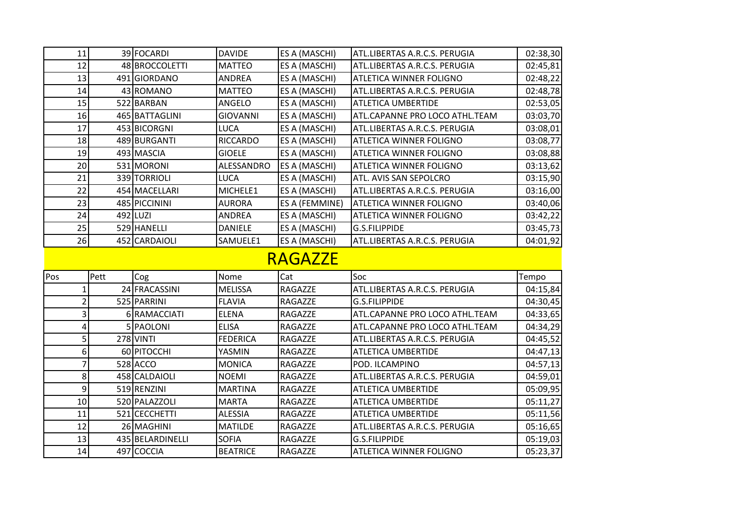| 11              | 39 FOCARDI     | <b>DAVIDE</b>   | ES A (MASCHI)  | ATL.LIBERTAS A.R.C.S. PERUGIA  | 02:38,30 |
|-----------------|----------------|-----------------|----------------|--------------------------------|----------|
| 12              | 48 BROCCOLETTI | <b>MATTEO</b>   | ES A (MASCHI)  | ATL.LIBERTAS A.R.C.S. PERUGIA  | 02:45,81 |
| 13              | 491 GIORDANO   | <b>ANDREA</b>   | ES A (MASCHI)  | <b>ATLETICA WINNER FOLIGNO</b> | 02:48,22 |
| 14              | 43 ROMANO      | IMATTEO         | ES A (MASCHI)  | ATL.LIBERTAS A.R.C.S. PERUGIA  | 02:48,78 |
| 15              | 522 BARBAN     | <b>ANGELO</b>   | ES A (MASCHI)  | <b>ATLETICA UMBERTIDE</b>      | 02:53,05 |
| 16              | 465 BATTAGLINI | <b>GIOVANNI</b> | ES A (MASCHI)  | ATL.CAPANNE PRO LOCO ATHL.TEAM | 03:03,70 |
| 17 <sup>1</sup> | 453 BICORGNI   | <b>LUCA</b>     | ES A (MASCHI)  | ATL.LIBERTAS A.R.C.S. PERUGIA  | 03:08,01 |
| 18              | 489 BURGANTI   | <b>RICCARDO</b> | ES A (MASCHI)  | <b>ATLETICA WINNER FOLIGNO</b> | 03:08,77 |
| 19              | 493 MASCIA     | <b>GIOELE</b>   | ES A (MASCHI)  | ATLETICA WINNER FOLIGNO        | 03:08,88 |
| 20 <sup>1</sup> | 531 MORONI     | ALESSANDRO      | ES A (MASCHI)  | <b>ATLETICA WINNER FOLIGNO</b> | 03:13,62 |
| 21              | 339 TORRIOLI   | <b>LUCA</b>     | ES A (MASCHI)  | ATL. AVIS SAN SEPOLCRO         | 03:15,90 |
| 22              | 454 MACELLARI  | MICHELE1        | ES A (MASCHI)  | ATL.LIBERTAS A.R.C.S. PERUGIA  | 03:16,00 |
| 23              | 485 PICCININI  | <b>AURORA</b>   | ES A (FEMMINE) | <b>ATLETICA WINNER FOLIGNO</b> | 03:40,06 |
| 24              | 492 LUZI       | <b>ANDREA</b>   | ES A (MASCHI)  | <b>ATLETICA WINNER FOLIGNO</b> | 03:42,22 |
| 25              | 529 HANELLI    | <b>DANIELE</b>  | ES A (MASCHI)  | <b>G.S.FILIPPIDE</b>           | 03:45,73 |
| 26              | 452 CARDAIOLI  | SAMUELE1        | ES A (MASCHI)  | ATL.LIBERTAS A.R.C.S. PERUGIA  | 04:01,92 |

## RAGAZZE

| Pos             | Pett | Cog              | Nome            | Cat            | Soc                            | Tempo    |
|-----------------|------|------------------|-----------------|----------------|--------------------------------|----------|
|                 |      | 24 FRACASSINI    | MELISSA         | RAGAZZE        | ATL.LIBERTAS A.R.C.S. PERUGIA  | 04:15,84 |
|                 |      | 525 PARRINI      | <b>FLAVIA</b>   | RAGAZZE        | <b>G.S.FILIPPIDE</b>           | 04:30,45 |
|                 |      | 6 RAMACCIATI     | <b>ELENA</b>    | RAGAZZE        | ATL.CAPANNE PRO LOCO ATHL.TEAM | 04:33,65 |
| 41              |      | 5 PAOLONI        | <b>ELISA</b>    | RAGAZZE        | ATL.CAPANNE PRO LOCO ATHL.TEAM | 04:34,29 |
| 51              |      | 278 VINTI        | <b>FEDERICA</b> | <b>RAGAZZE</b> | ATL.LIBERTAS A.R.C.S. PERUGIA  | 04:45,52 |
| 61              |      | 60 PITOCCHI      | YASMIN          | RAGAZZE        | <b>ATLETICA UMBERTIDE</b>      | 04:47,13 |
|                 |      | 528 ACCO         | <b>MONICA</b>   | RAGAZZE        | POD. ILCAMPINO                 | 04:57,13 |
| 81              |      | 458 CALDAIOLI    | <b>NOEMI</b>    | RAGAZZE        | ATL.LIBERTAS A.R.C.S. PERUGIA  | 04:59,01 |
| 91              |      | 519 RENZINI      | <b>MARTINA</b>  | <b>RAGAZZE</b> | ATLETICA UMBERTIDE             | 05:09,95 |
| 10 <sup>1</sup> |      | 520 PALAZZOLI    | <b>MARTA</b>    | RAGAZZE        | <b>ATLETICA UMBERTIDE</b>      | 05:11,27 |
| 11              |      | 521 CECCHETTI    | <b>ALESSIA</b>  | RAGAZZE        | ATLETICA UMBERTIDE             | 05:11,56 |
| 12              |      | 26 MAGHINI       | <b>MATILDE</b>  | RAGAZZE        | ATL.LIBERTAS A.R.C.S. PERUGIA  | 05:16,65 |
| 13              |      | 435 BELARDINELLI | <b>SOFIA</b>    | RAGAZZE        | G.S.FILIPPIDE                  | 05:19,03 |
| 14              |      | 497 COCCIA       | <b>BEATRICE</b> | RAGAZZE        | <b>ATLETICA WINNER FOLIGNO</b> | 05:23,37 |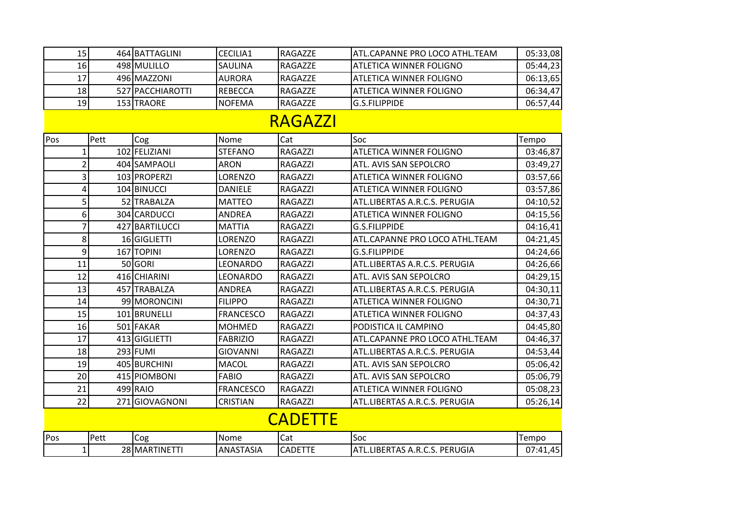| 15             |                         | 464 BATTAGLINI   | CECILIA1         | RAGAZZE        | ATL.CAPANNE PRO LOCO ATHL.TEAM | 05:33,08 |  |  |  |  |
|----------------|-------------------------|------------------|------------------|----------------|--------------------------------|----------|--|--|--|--|
| 16             |                         | 498 MULILLO      | <b>SAULINA</b>   | RAGAZZE        | <b>ATLETICA WINNER FOLIGNO</b> | 05:44,23 |  |  |  |  |
| 17             |                         | 496 MAZZONI      | <b>AURORA</b>    | RAGAZZE        | ATLETICA WINNER FOLIGNO        | 06:13,65 |  |  |  |  |
| 18             |                         | 527 PACCHIAROTTI | <b>REBECCA</b>   | RAGAZZE        | ATLETICA WINNER FOLIGNO        | 06:34,47 |  |  |  |  |
| 19             |                         | 153 TRAORE       | <b>NOFEMA</b>    | RAGAZZE        | <b>G.S.FILIPPIDE</b>           | 06:57,44 |  |  |  |  |
| <b>RAGAZZI</b> |                         |                  |                  |                |                                |          |  |  |  |  |
| Pos            | Pett                    | Cog              | Nome             | Cat            | Soc                            | Tempo    |  |  |  |  |
|                | 1                       | 102 FELIZIANI    | <b>STEFANO</b>   | <b>RAGAZZI</b> | ATLETICA WINNER FOLIGNO        | 03:46,87 |  |  |  |  |
|                | $\overline{2}$          | 404 SAMPAOLI     | <b>ARON</b>      | <b>RAGAZZI</b> | ATL. AVIS SAN SEPOLCRO         | 03:49,27 |  |  |  |  |
|                | $\overline{\mathsf{3}}$ | 103 PROPERZI     | <b>LORENZO</b>   | <b>RAGAZZI</b> | <b>ATLETICA WINNER FOLIGNO</b> | 03:57,66 |  |  |  |  |
|                | 4                       | 104 BINUCCI      | <b>DANIELE</b>   | <b>RAGAZZI</b> | ATLETICA WINNER FOLIGNO        | 03:57,86 |  |  |  |  |
|                | $\mathsf{S}$            | 52 TRABALZA      | <b>MATTEO</b>    | <b>RAGAZZI</b> | ATL.LIBERTAS A.R.C.S. PERUGIA  | 04:10,52 |  |  |  |  |
|                | 6                       | 304 CARDUCCI     | <b>ANDREA</b>    | <b>RAGAZZI</b> | <b>ATLETICA WINNER FOLIGNO</b> | 04:15,56 |  |  |  |  |
|                | $\overline{7}$          | 427 BARTILUCCI   | <b>MATTIA</b>    | <b>RAGAZZI</b> | <b>G.S.FILIPPIDE</b>           | 04:16,41 |  |  |  |  |
|                | 8                       | 16 GIGLIETTI     | LORENZO          | <b>RAGAZZI</b> | ATL.CAPANNE PRO LOCO ATHL.TEAM | 04:21,45 |  |  |  |  |
|                | $\overline{9}$          | 167 TOPINI       | LORENZO          | <b>RAGAZZI</b> | <b>G.S.FILIPPIDE</b>           | 04:24,66 |  |  |  |  |
| 11             |                         | 50 GORI          | LEONARDO         | <b>RAGAZZI</b> | ATL.LIBERTAS A.R.C.S. PERUGIA  | 04:26,66 |  |  |  |  |
| 12             |                         | 416 CHIARINI     | <b>LEONARDO</b>  | <b>RAGAZZI</b> | ATL. AVIS SAN SEPOLCRO         | 04:29,15 |  |  |  |  |
| 13             |                         | 457 TRABALZA     | <b>ANDREA</b>    | <b>RAGAZZI</b> | ATL.LIBERTAS A.R.C.S. PERUGIA  | 04:30,11 |  |  |  |  |
| 14             |                         | 99 MORONCINI     | <b>FILIPPO</b>   | <b>RAGAZZI</b> | ATLETICA WINNER FOLIGNO        | 04:30,71 |  |  |  |  |
| 15             |                         | 101 BRUNELLI     | <b>FRANCESCO</b> | <b>RAGAZZI</b> | ATLETICA WINNER FOLIGNO        | 04:37,43 |  |  |  |  |
| 16             |                         | 501 FAKAR        | <b>MOHMED</b>    | <b>RAGAZZI</b> | PODISTICA IL CAMPINO           | 04:45,80 |  |  |  |  |
| 17             |                         | 413 GIGLIETTI    | <b>FABRIZIO</b>  | <b>RAGAZZI</b> | ATL.CAPANNE PRO LOCO ATHL.TEAM | 04:46,37 |  |  |  |  |
| 18             |                         | 293 FUMI         | <b>GIOVANNI</b>  | <b>RAGAZZI</b> | ATL.LIBERTAS A.R.C.S. PERUGIA  | 04:53,44 |  |  |  |  |
| 19             |                         | 405 BURCHINI     | <b>MACOL</b>     | <b>RAGAZZI</b> | ATL. AVIS SAN SEPOLCRO         | 05:06,42 |  |  |  |  |
| 20             |                         | 415 PIOMBONI     | <b>FABIO</b>     | <b>RAGAZZI</b> | ATL. AVIS SAN SEPOLCRO         | 05:06,79 |  |  |  |  |
| 21             |                         | $499$ RAIO       | <b>FRANCESCO</b> | <b>RAGAZZI</b> | ATLETICA WINNER FOLIGNO        | 05:08,23 |  |  |  |  |
| 22             |                         | 271 GIOVAGNONI   | <b>CRISTIAN</b>  | <b>RAGAZZI</b> | ATL.LIBERTAS A.R.C.S. PERUGIA  | 05:26,14 |  |  |  |  |
|                |                         |                  |                  | <b>CADETTE</b> |                                |          |  |  |  |  |
| Pos            | Pett                    | Cog              | Nome             | Cat            | Soc                            | Tempo    |  |  |  |  |
|                | 1                       | 28 MARTINETTI    | ANASTASIA        | <b>CADETTE</b> | ATL.LIBERTAS A.R.C.S. PERUGIA  | 07:41,45 |  |  |  |  |
|                |                         |                  |                  |                |                                |          |  |  |  |  |